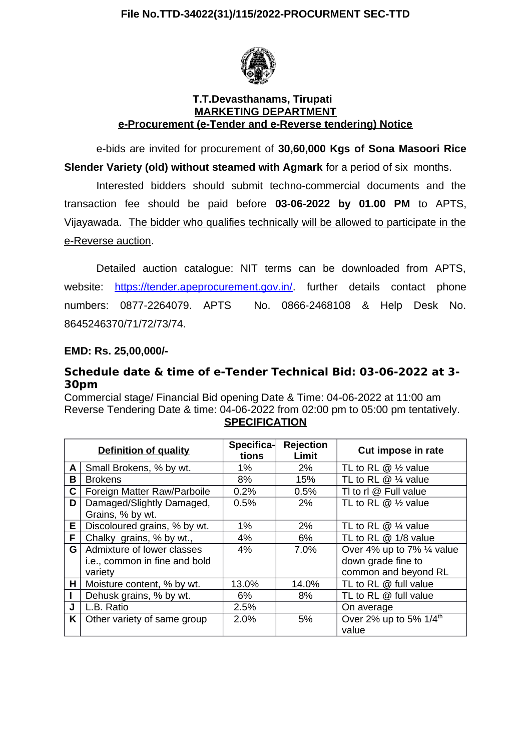

## **T.T.Devasthanams, Tirupati MARKETING DEPARTMENT e-Procurement (e-Tender and e-Reverse tendering) Notice**

e-bids are invited for procurement of **30,60,000 Kgs of Sona Masoori Rice Slender Variety (old) without steamed with Agmark** for a period of six months.

Interested bidders should submit techno-commercial documents and the transaction fee should be paid before **03-06-2022 by 01.00 PM** to APTS, Vijayawada. The bidder who qualifies technically will be allowed to participate in the e-Reverse auction.

Detailed auction catalogue: NIT terms can be downloaded from APTS, website: [https://tender.apeprocurement.gov.in/.](https://tender.apeprocurement.gov.in/) further details contact phone numbers: 0877-2264079. APTS No. 0866-2468108 & Help Desk No. 8645246370/71/72/73/74.

## **EMD: Rs. 25,00,000/-**

## **Schedule date & time of e-Tender Technical Bid: 03-06-2022 at 3- 30pm**

Commercial stage/ Financial Bid opening Date & Time: 04-06-2022 at 11:00 am Reverse Tendering Date & time: 04-06-2022 from 02:00 pm to 05:00 pm tentatively. **SPECIFICATION**

|    | <b>Definition of quality</b>  | Specifica-<br>tions | <b>Rejection</b><br>Limit | Cut impose in rate                 |
|----|-------------------------------|---------------------|---------------------------|------------------------------------|
| A  | Small Brokens, % by wt.       | 1%                  | 2%                        | TL to RL $@$ $\frac{1}{2}$ value   |
| В  | <b>Brokens</b>                | 8%                  | 15%                       | TL to RL $@$ ¼ value               |
| С  | Foreign Matter Raw/Parboile   | 0.2%                | 0.5%                      | TI to rl $@$ Full value            |
| D  | Damaged/Slightly Damaged,     | 0.5%                | 2%                        | TL to RL $@$ $\frac{1}{2}$ value   |
|    | Grains, % by wt.              |                     |                           |                                    |
| E. | Discoloured grains, % by wt.  | 1%                  | 2%                        | TL to RL $@$ ¼ value               |
| F. | Chalky grains, % by wt.,      | 4%                  | 6%                        | TL to RL $@1/8$ value              |
| G  | Admixture of lower classes    | 4%                  | 7.0%                      | Over 4% up to 7% 1/4 value         |
|    | i.e., common in fine and bold |                     |                           | down grade fine to                 |
|    | variety                       |                     |                           | common and beyond RL               |
| H. | Moisture content, % by wt.    | 13.0%               | 14.0%                     | TL to RL $@$ full value            |
|    | Dehusk grains, % by wt.       | 6%                  | 8%                        | TL to RL $@$ full value            |
| J  | L.B. Ratio                    | 2.5%                |                           | On average                         |
| K. | Other variety of same group   | 2.0%                | 5%                        | Over 2% up to 5% 1/4 <sup>th</sup> |
|    |                               |                     |                           | value                              |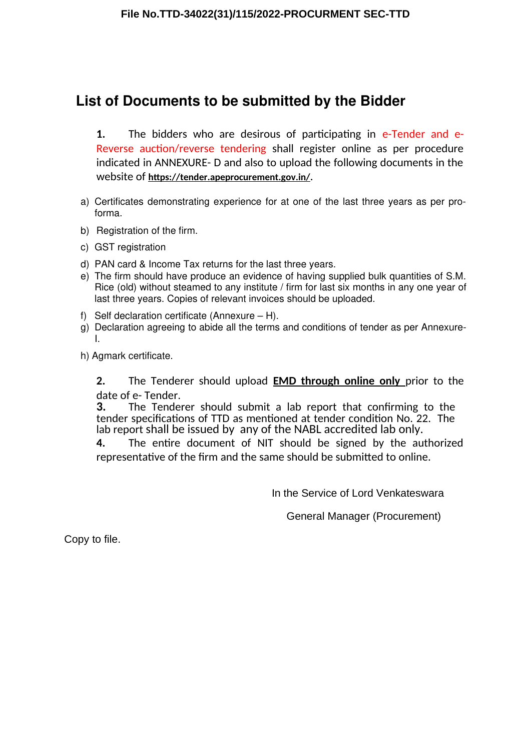## **List of Documents to be submitted by the Bidder**

**1.** The bidders who are desirous of participating in e-Tender and e-Reverse auction/reverse tendering shall register online as per procedure indicated in ANNEXURE- D and also to upload the following documents in the website of https://tender.apeprocurement.gov.in/.

- a) Certificates demonstrating experience for at one of the last three years as per proforma.
- b) Registration of the firm.
- c) GST registration
- d) PAN card & Income Tax returns for the last three years.
- e) The firm should have produce an evidence of having supplied bulk quantities of S.M. Rice (old) without steamed to any institute / firm for last six months in any one year of last three years. Copies of relevant invoices should be uploaded.
- f) Self declaration certificate (Annexure H).
- a) Declaration agreeing to abide all the terms and conditions of tender as per Annexure-I.
- h) Agmark certificate.

**2.** The Tenderer should upload **EMD through online only** prior to the date of e-Tender.<br>3. The Tende

The Tenderer should submit a lab report that confirming to the tender specifications of TTD as mentioned at tender condition No. 22. The lab report shall be issued by any of the NABL accredited lab only.

**4.** The entire document of NIT should be signed by the authorized representative of the firm and the same should be submitted to online.

In the Service of Lord Venkateswara

General Manager (Procurement)

Copy to file.